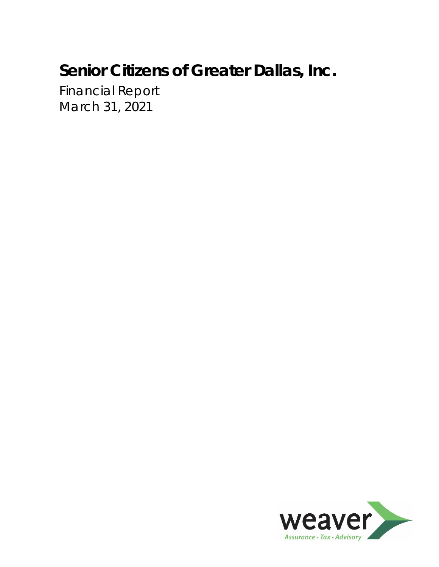Financial Report March 31, 2021

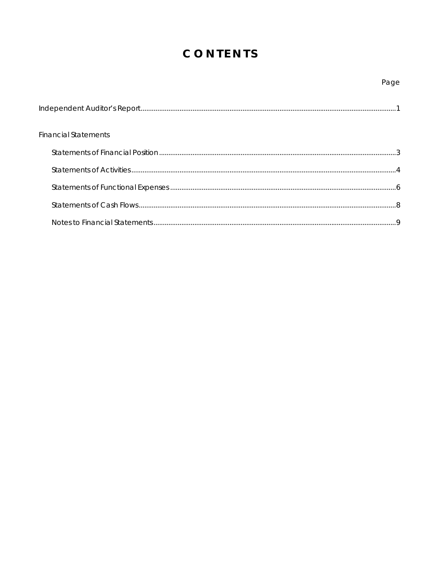# CONTENTS

### Page

| <b>Financial Statements</b> |  |
|-----------------------------|--|
|                             |  |
|                             |  |
|                             |  |
|                             |  |
|                             |  |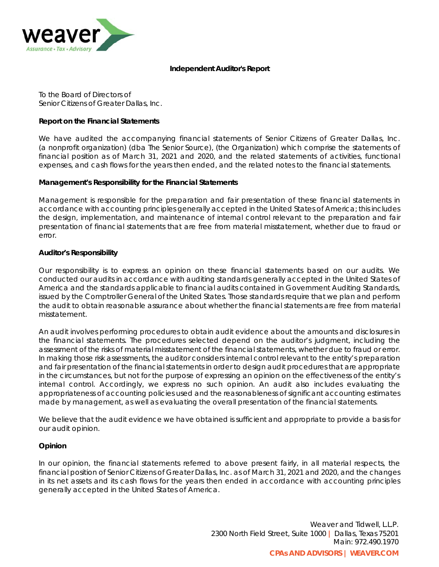

#### **Independent Auditor's Report**

To the Board of Directors of Senior Citizens of Greater Dallas, Inc.

#### **Report on the Financial Statements**

We have audited the accompanying financial statements of Senior Citizens of Greater Dallas, Inc. (a nonprofit organization) (dba The Senior Source), (the Organization) which comprise the statements of financial position as of March 31, 2021 and 2020, and the related statements of activities, functional expenses, and cash flows for the years then ended, and the related notes to the financial statements.

#### **Management's Responsibility for the Financial Statements**

Management is responsible for the preparation and fair presentation of these financial statements in accordance with accounting principles generally accepted in the United States of America; this includes the design, implementation, and maintenance of internal control relevant to the preparation and fair presentation of financial statements that are free from material misstatement, whether due to fraud or error.

#### **Auditor's Responsibility**

Our responsibility is to express an opinion on these financial statements based on our audits. We conducted our audits in accordance with auditing standards generally accepted in the United States of America and the standards applicable to financial audits contained in *Government Auditing Standards*, issued by the Comptroller General of the United States. Those standards require that we plan and perform the audit to obtain reasonable assurance about whether the financial statements are free from material misstatement.

An audit involves performing procedures to obtain audit evidence about the amounts and disclosures in the financial statements. The procedures selected depend on the auditor's judgment, including the assessment of the risks of material misstatement of the financial statements, whether due to fraud or error. In making those risk assessments, the auditor considers internal control relevant to the entity's preparation and fair presentation of the financial statements in order to design audit procedures that are appropriate in the circumstances, but not for the purpose of expressing an opinion on the effectiveness of the entity's internal control. Accordingly, we express no such opinion. An audit also includes evaluating the appropriateness of accounting policies used and the reasonableness of significant accounting estimates made by management, as well as evaluating the overall presentation of the financial statements.

We believe that the audit evidence we have obtained is sufficient and appropriate to provide a basis for our audit opinion.

#### **Opinion**

In our opinion, the financial statements referred to above present fairly, in all material respects, the financial position of Senior Citizens of Greater Dallas, Inc. as of March 31, 2021 and 2020, and the changes in its net assets and its cash flows for the years then ended in accordance with accounting principles generally accepted in the United States of America.

> Weaver and Tidwell, L.L.P. 2300 North Field Street, Suite 1000 *|* Dallas, Texas 75201 Main: 972.490.1970

**CPAs AND ADVISORS | WEAVER.COM**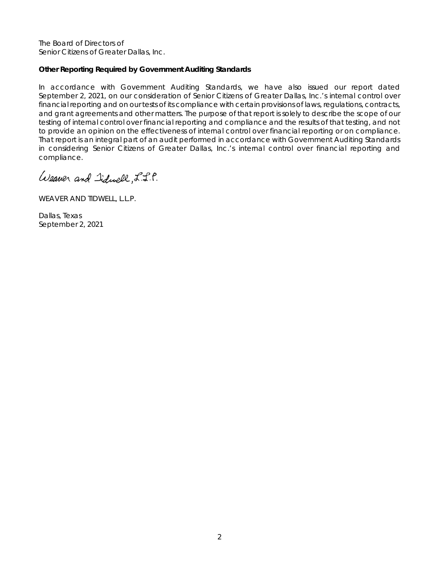The Board of Directors of Senior Citizens of Greater Dallas, Inc.

#### **Other Reporting Required by Government Auditing Standards**

In accordance with *Government Auditing Standards*, we have also issued our report dated September 2, 2021, on our consideration of Senior Citizens of Greater Dallas, Inc.'s internal control over financial reporting and on our tests of its compliance with certain provisions of laws, regulations, contracts, and grant agreements and other matters. The purpose of that report is solely to describe the scope of our testing of internal control over financial reporting and compliance and the results of that testing, and not to provide an opinion on the effectiveness of internal control over financial reporting or on compliance. That report is an integral part of an audit performed in accordance with *Government Auditing Standards* in considering Senior Citizens of Greater Dallas, Inc.'s internal control over financial reporting and compliance.

Weaver and Iiduell, L.S.P.

WEAVER AND TIDWELL, L.L.P.

Dallas, Texas September 2, 2021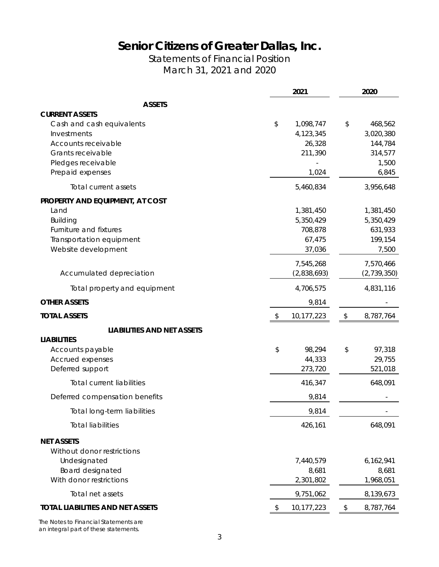Statements of Financial Position March 31, 2021 and 2020

|                                                                                                                                  | 2021                                                  | 2020                                                  |
|----------------------------------------------------------------------------------------------------------------------------------|-------------------------------------------------------|-------------------------------------------------------|
| <b>ASSETS</b>                                                                                                                    |                                                       |                                                       |
| <b>CURRENT ASSETS</b><br>Cash and cash equivalents<br>Investments<br>Accounts receivable<br>Grants receivable                    | \$<br>1,098,747<br>4,123,345<br>26,328<br>211,390     | \$<br>468,562<br>3,020,380<br>144,784<br>314,577      |
| Pledges receivable<br>Prepaid expenses                                                                                           | 1,024                                                 | 1,500<br>6,845                                        |
| Total current assets                                                                                                             | 5,460,834                                             | 3,956,648                                             |
| PROPERTY AND EQUIPMENT, AT COST<br>Land<br>Building<br>Furniture and fixtures<br>Transportation equipment<br>Website development | 1,381,450<br>5,350,429<br>708,878<br>67,475<br>37,036 | 1,381,450<br>5,350,429<br>631,933<br>199,154<br>7,500 |
| Accumulated depreciation                                                                                                         | 7,545,268<br>(2,838,693)                              | 7,570,466<br>(2,739,350)                              |
| Total property and equipment                                                                                                     | 4,706,575                                             | 4,831,116                                             |
| <b>OTHER ASSETS</b>                                                                                                              | 9,814                                                 |                                                       |
| <b>TOTAL ASSETS</b>                                                                                                              | \$<br>10,177,223                                      | \$<br>8,787,764                                       |
| <b>LIABILITIES AND NET ASSETS</b>                                                                                                |                                                       |                                                       |
| <b>LIABILITIES</b><br>Accounts payable<br>Accrued expenses<br>Deferred support                                                   | \$<br>98,294<br>44,333<br>273,720                     | \$<br>97,318<br>29,755<br>521,018                     |
| <b>Total current liabilities</b>                                                                                                 | 416,347                                               | 648,091                                               |
| Deferred compensation benefits                                                                                                   | 9,814                                                 |                                                       |
| Total long-term liabilities                                                                                                      | 9,814                                                 |                                                       |
| <b>Total liabilities</b>                                                                                                         | 426,161                                               | 648,091                                               |
| <b>NET ASSETS</b><br>Without donor restrictions<br>Undesignated<br>Board designated<br>With donor restrictions                   | 7,440,579<br>8,681<br>2,301,802                       | 6,162,941<br>8,681<br>1,968,051                       |
| Total net assets                                                                                                                 | 9,751,062                                             | 8,139,673                                             |
| TOTAL LIABILITIES AND NET ASSETS                                                                                                 | \$<br>10,177,223                                      | \$<br>8,787,764                                       |
|                                                                                                                                  |                                                       |                                                       |

The Notes to Financial Statements are an integral part of these statements.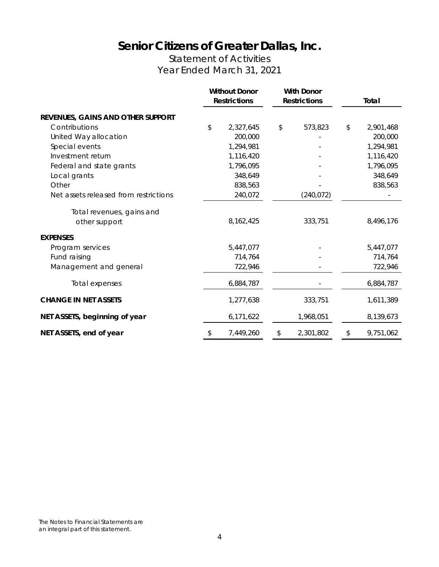### Statement of Activities Year Ended March 31, 2021

|                                       | <b>Without Donor</b><br><b>With Donor</b><br><b>Restrictions</b><br><b>Restrictions</b> |    | Total      |                 |
|---------------------------------------|-----------------------------------------------------------------------------------------|----|------------|-----------------|
| REVENUES, GAINS AND OTHER SUPPORT     |                                                                                         |    |            |                 |
| Contributions                         | \$<br>2,327,645                                                                         | \$ | 573,823    | \$<br>2,901,468 |
| United Way allocation                 | 200,000                                                                                 |    |            | 200,000         |
| Special events                        | 1,294,981                                                                               |    |            | 1,294,981       |
| Investment return                     | 1,116,420                                                                               |    |            | 1,116,420       |
| Federal and state grants              | 1,796,095                                                                               |    |            | 1,796,095       |
| Local grants                          | 348,649                                                                                 |    |            | 348,649         |
| Other                                 | 838,563                                                                                 |    |            | 838,563         |
| Net assets released from restrictions | 240,072                                                                                 |    | (240, 072) |                 |
| Total revenues, gains and             |                                                                                         |    |            |                 |
| other support                         | 8, 162, 425                                                                             |    | 333,751    | 8,496,176       |
| <b>EXPENSES</b>                       |                                                                                         |    |            |                 |
| Program services                      | 5,447,077                                                                               |    |            | 5,447,077       |
| Fund raising                          | 714,764                                                                                 |    |            | 714,764         |
| Management and general                | 722,946                                                                                 |    |            | 722,946         |
| Total expenses                        | 6,884,787                                                                               |    |            | 6,884,787       |
| <b>CHANGE IN NET ASSETS</b>           | 1,277,638                                                                               |    | 333,751    | 1,611,389       |
| NET ASSETS, beginning of year         | 6,171,622                                                                               |    | 1,968,051  | 8,139,673       |
| NET ASSETS, end of year               | \$<br>7,449,260                                                                         | \$ | 2,301,802  | \$<br>9,751,062 |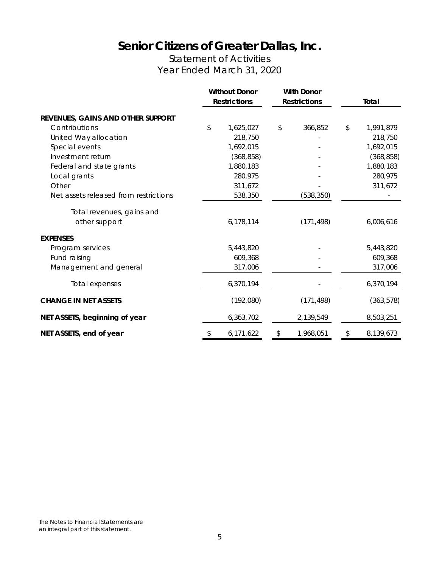### Statement of Activities Year Ended March 31, 2020

|                                       | <b>Without Donor</b><br><b>Restrictions</b> | <b>With Donor</b><br><b>Restrictions</b> |    | Total      |
|---------------------------------------|---------------------------------------------|------------------------------------------|----|------------|
| REVENUES, GAINS AND OTHER SUPPORT     |                                             |                                          |    |            |
| Contributions                         | \$<br>1,625,027                             | \$<br>366,852                            | \$ | 1,991,879  |
| United Way allocation                 | 218,750                                     |                                          |    | 218,750    |
| Special events                        | 1,692,015                                   |                                          |    | 1,692,015  |
| Investment return                     | (368, 858)                                  |                                          |    | (368, 858) |
| Federal and state grants              | 1,880,183                                   |                                          |    | 1,880,183  |
| Local grants                          | 280,975                                     |                                          |    | 280,975    |
| Other                                 | 311,672                                     |                                          |    | 311,672    |
| Net assets released from restrictions | 538,350                                     | (538, 350)                               |    |            |
| Total revenues, gains and             |                                             |                                          |    |            |
| other support                         | 6,178,114                                   | (171, 498)                               |    | 6,006,616  |
| <b>EXPENSES</b>                       |                                             |                                          |    |            |
| Program services                      | 5,443,820                                   |                                          |    | 5,443,820  |
| Fund raising                          | 609,368                                     |                                          |    | 609,368    |
| Management and general                | 317,006                                     |                                          |    | 317,006    |
| Total expenses                        | 6,370,194                                   |                                          |    | 6,370,194  |
| <b>CHANGE IN NET ASSETS</b>           | (192,080)                                   | (171, 498)                               |    | (363, 578) |
| NET ASSETS, beginning of year         | 6,363,702                                   | 2,139,549                                |    | 8,503,251  |
| NET ASSETS, end of year               | \$<br>6,171,622                             | \$<br>1,968,051                          | \$ | 8,139,673  |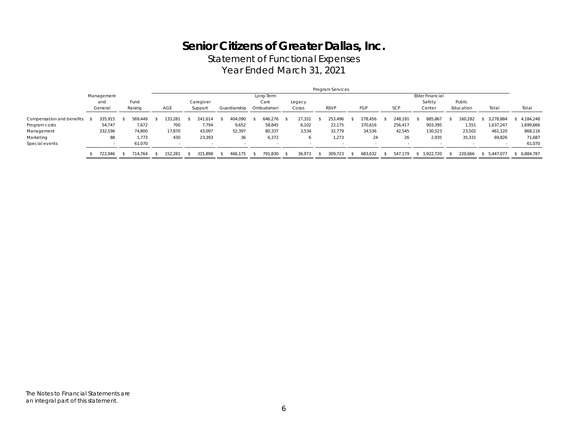Statement of Functional Expenses

Year Ended March 31, 2021

|                           | Program Services |            |  |         |  |        |  |           |  |              |  |           |  |        |             |         |         |                 |           |             |           |
|---------------------------|------------------|------------|--|---------|--|--------|--|-----------|--|--------------|--|-----------|--|--------|-------------|---------|---------|-----------------|-----------|-------------|-----------|
|                           |                  | Management |  |         |  |        |  |           |  |              |  | Long-Term |  |        |             |         |         | Elder Financial |           |             |           |
|                           |                  | and        |  | Fund    |  |        |  | Caregiver |  |              |  | Care      |  | Legacy |             |         |         | Safety          | Public    |             |           |
|                           |                  | General    |  | Raising |  | AGE    |  | Support   |  | Guardianship |  | Ombudsman |  | Corps  | <b>RSVP</b> | FGP     | SCP     | Center          | Education | Total       | Total     |
| Compensation and benefits |                  | 335,915    |  | 569.449 |  | 33.281 |  | 241,614   |  | 404.090      |  | 646.276   |  | 27,33' | 253.496     | 278.456 | 248,191 | 885,867         | 160,282   | 3.278.884   | 4,184,248 |
| Program costs             |                  | 54,747     |  | 7,672   |  | 700    |  | 7,794     |  | 9,652        |  | 58,845    |  | 6,102  | 22,175      | 370,616 | 256,417 | 903,395         | 1,551     | 1,637,247   | 1,699,666 |
| Management                |                  | 332,196    |  | 74,800  |  | 17,870 |  | 43,097    |  | 52,397       |  | 80,337    |  | 3,534  | 32,779      | 34,536  | 42,545  | 130,523         | 23,502    | 461,120     | 868,116   |
| Marketing                 |                  | 88         |  | 1.773   |  | 430    |  | 23,393    |  | 36           |  | 6,372     |  |        | 1,273       | 24      | 26      | 2,935           | 35,331    | 69,826      | 71,687    |
| Special events            |                  |            |  | 61.070  |  |        |  |           |  |              |  |           |  |        |             |         |         |                 |           |             | 61,070    |
|                           |                  | 722.946    |  | 714.764 |  | 52.281 |  | 315.898   |  | 466.175      |  | 791.830   |  | 36.973 | 309.723     | 683.632 | 547.179 | 1.922.720       | 220.666   | \$5.447.077 | 6,884,787 |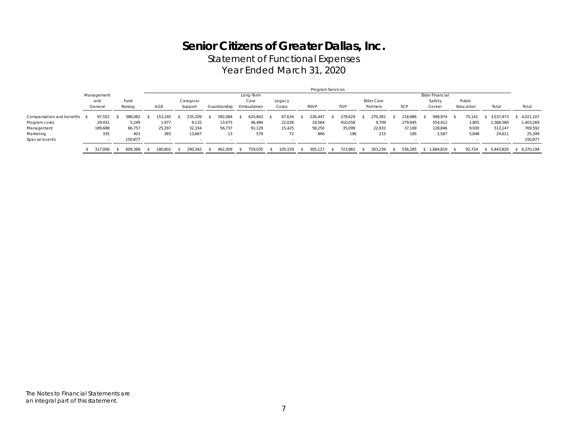Statement of Functional Expenses

Year Ended March 31, 2020

|                           | Program Services |            |  |         |  |         |  |           |  |              |  |           |         |             |         |            |            |                 |           |           |  |           |
|---------------------------|------------------|------------|--|---------|--|---------|--|-----------|--|--------------|--|-----------|---------|-------------|---------|------------|------------|-----------------|-----------|-----------|--|-----------|
|                           |                  | Management |  |         |  |         |  |           |  |              |  | Long-Term |         |             |         |            |            | Elder Financial |           |           |  |           |
|                           |                  | and        |  | Fund    |  |         |  | Caregiver |  |              |  | Care      | Legacy  |             |         | Elder Care |            | Safety          | Public    |           |  |           |
|                           |                  | General    |  | Raising |  | AGE     |  | Support   |  | Guardianship |  | Ombudsman | Corps   | <b>RSVP</b> | FGP     | Partners   | <b>SCP</b> | Center          | Education | Total     |  | Total     |
| Compensation and benefits |                  | 97,552     |  | 386.082 |  | 53,145  |  | 235,209   |  | 392.084      |  | 520.843   | 57,634  | 226,447     | 278.629 | 270,381    | 218,986    | 998,974         | 75.14     | 3,537,473 |  | 4,021,107 |
| Program costs             |                  | 29,431     |  | 5,249   |  | 1,977   |  | 9.132     |  | 13.475       |  | 46,484    | 22,028  | 19,564      | 410,058 | 9.709      | 279,945    | 554,412         | 1,805     | 1,368,589 |  | 1,403,269 |
| Management                |                  | 189,688    |  | 66,757  |  | 25,297  |  | 32,334    |  | 56.737       |  | 91,129    | 15,425  | 58,250      | 35,099  | 22,931     | 37,169     | 128,846         | 9.930     | 513,147   |  | 769,592   |
| Marketing                 |                  | 335        |  | 403     |  | 383     |  | 13,667    |  | 13           |  | 579       | 72      | 866         | 196     | 215        | 185        | 2,587           | 5,848     | 24,611    |  | 25,349    |
| Special events            |                  |            |  | 150.877 |  |         |  |           |  |              |  |           |         |             |         |            |            |                 |           |           |  | 150.877   |
|                           |                  | 317.006    |  | 609.368 |  | 180,802 |  | 290.342   |  | 462.309      |  | 759,035   | 105.159 | 305,127     | 723.982 | 303.236    | 536,285    | 1.684.819       | 92.724    | 5.443.820 |  | 6.370.194 |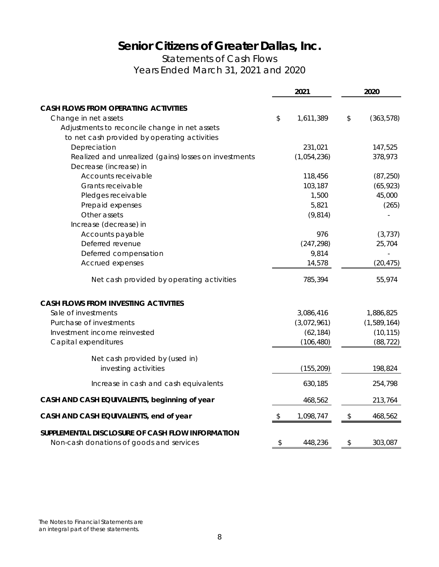Statements of Cash Flows Years Ended March 31, 2021 and 2020

|                                                                                              | 2021            | 2020             |
|----------------------------------------------------------------------------------------------|-----------------|------------------|
| <b>CASH FLOWS FROM OPERATING ACTIVITIES</b>                                                  |                 |                  |
| Change in net assets                                                                         | \$<br>1,611,389 | \$<br>(363, 578) |
| Adjustments to reconcile change in net assets                                                |                 |                  |
| to net cash provided by operating activities                                                 |                 |                  |
| Depreciation                                                                                 | 231,021         | 147,525          |
| Realized and unrealized (gains) losses on investments                                        | (1,054,236)     | 378,973          |
| Decrease (increase) in                                                                       |                 |                  |
| Accounts receivable                                                                          | 118,456         | (87, 250)        |
| Grants receivable                                                                            | 103,187         | (65, 923)        |
| Pledges receivable                                                                           | 1,500           | 45,000           |
| Prepaid expenses                                                                             | 5,821           | (265)            |
| Other assets                                                                                 | (9, 814)        |                  |
| Increase (decrease) in                                                                       |                 |                  |
| Accounts payable                                                                             | 976             | (3, 737)         |
| Deferred revenue                                                                             | (247, 298)      | 25,704           |
| Deferred compensation                                                                        | 9,814           |                  |
| Accrued expenses                                                                             | 14,578          | (20, 475)        |
| Net cash provided by operating activities                                                    | 785,394         | 55,974           |
| <b>CASH FLOWS FROM INVESTING ACTIVITIES</b>                                                  |                 |                  |
| Sale of investments                                                                          | 3,086,416       | 1,886,825        |
| Purchase of investments                                                                      | (3,072,961)     | (1,589,164)      |
| Investment income reinvested                                                                 | (62, 184)       | (10, 115)        |
| Capital expenditures                                                                         | (106, 480)      | (88, 722)        |
| Net cash provided by (used in)                                                               |                 |                  |
| investing activities                                                                         | (155, 209)      | 198,824          |
| Increase in cash and cash equivalents                                                        | 630,185         | 254,798          |
| CASH AND CASH EQUIVALENTS, beginning of year                                                 | 468,562         | 213,764          |
| CASH AND CASH EQUIVALENTS, end of year                                                       | \$<br>1,098,747 | \$<br>468,562    |
| SUPPLEMENTAL DISCLOSURE OF CASH FLOW INFORMATION<br>Non-cash donations of goods and services | \$<br>448,236   | \$<br>303,087    |

The Notes to Financial Statements are an integral part of these statements.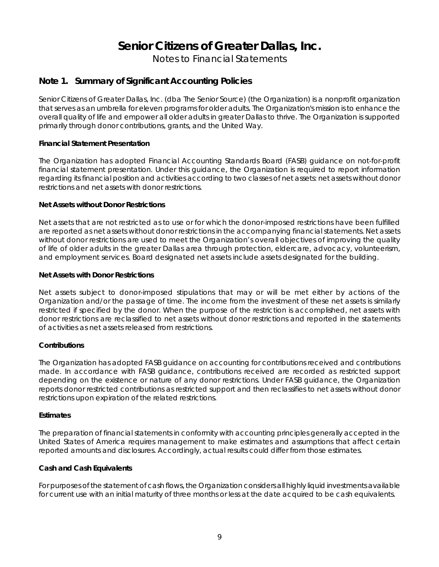Notes to Financial Statements

### **Note 1. Summary of Significant Accounting Policies**

Senior Citizens of Greater Dallas, Inc. (dba The Senior Source) (the Organization) is a nonprofit organization that serves as an umbrella for eleven programs for older adults. The Organization's mission is to enhance the overall quality of life and empower all older adults in greater Dallas to thrive. The Organization is supported primarily through donor contributions, grants, and the United Way.

#### **Financial Statement Presentation**

The Organization has adopted Financial Accounting Standards Board (FASB) guidance on not-for-profit financial statement presentation. Under this guidance, the Organization is required to report information regarding its financial position and activities according to two classes of net assets: net assets without donor restrictions and net assets with donor restrictions.

#### **Net Assets without Donor Restrictions**

Net assets that are not restricted as to use or for which the donor-imposed restrictions have been fulfilled are reported as net assets without donor restrictions in the accompanying financial statements. Net assets without donor restrictions are used to meet the Organization's overall objectives of improving the quality of life of older adults in the greater Dallas area through protection, eldercare, advocacy, volunteerism, and employment services. Board designated net assets include assets designated for the building.

#### **Net Assets with Donor Restrictions**

Net assets subject to donor-imposed stipulations that may or will be met either by actions of the Organization and/or the passage of time. The income from the investment of these net assets is similarly restricted if specified by the donor. When the purpose of the restriction is accomplished, net assets with donor restrictions are reclassified to net assets without donor restrictions and reported in the statements of activities as net assets released from restrictions.

#### **Contributions**

The Organization has adopted FASB guidance on accounting for contributions received and contributions made. In accordance with FASB guidance, contributions received are recorded as restricted support depending on the existence or nature of any donor restrictions. Under FASB guidance, the Organization reports donor restricted contributions as restricted support and then reclassifies to net assets without donor restrictions upon expiration of the related restrictions.

#### **Estimates**

The preparation of financial statements in conformity with accounting principles generally accepted in the United States of America requires management to make estimates and assumptions that affect certain reported amounts and disclosures. Accordingly, actual results could differ from those estimates.

#### **Cash and Cash Equivalents**

For purposes of the statement of cash flows, the Organization considers all highly liquid investments available for current use with an initial maturity of three months or less at the date acquired to be cash equivalents.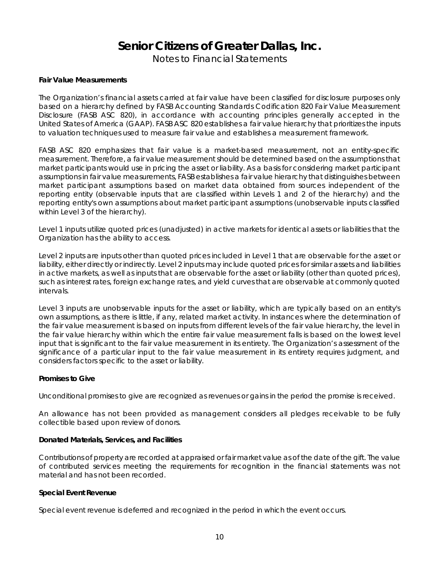Notes to Financial Statements

#### **Fair Value Measurements**

The Organization's financial assets carried at fair value have been classified for disclosure purposes only based on a hierarchy defined by FASB Accounting Standards Codification 820 *Fair Value Measurement Disclosure* (FASB ASC 820), in accordance with accounting principles generally accepted in the United States of America (GAAP). FASB ASC 820 establishes a fair value hierarchy that prioritizes the inputs to valuation techniques used to measure fair value and establishes a measurement framework.

FASB ASC 820 emphasizes that fair value is a market-based measurement, not an entity-specific measurement. Therefore, a fair value measurement should be determined based on the assumptions that market participants would use in pricing the asset or liability. As a basis for considering market participant assumptions in fair value measurements, FASB establishes a fair value hierarchy that distinguishes between market participant assumptions based on market data obtained from sources independent of the reporting entity (observable inputs that are classified within Levels 1 and 2 of the hierarchy) and the reporting entity's own assumptions about market participant assumptions (unobservable inputs classified within Level 3 of the hierarchy).

Level 1 inputs utilize quoted prices (unadjusted) in active markets for identical assets or liabilities that the Organization has the ability to access.

Level 2 inputs are inputs other than quoted prices included in Level 1 that are observable for the asset or liability, either directly or indirectly. Level 2 inputs may include quoted prices for similar assets and liabilities in active markets, as well as inputs that are observable for the asset or liability (other than quoted prices), such as interest rates, foreign exchange rates, and yield curves that are observable at commonly quoted intervals.

Level 3 inputs are unobservable inputs for the asset or liability, which are typically based on an entity's own assumptions, as there is little, if any, related market activity. In instances where the determination of the fair value measurement is based on inputs from different levels of the fair value hierarchy, the level in the fair value hierarchy within which the entire fair value measurement falls is based on the lowest level input that is significant to the fair value measurement in its entirety. The Organization's assessment of the significance of a particular input to the fair value measurement in its entirety requires judgment, and considers factors specific to the asset or liability.

#### **Promises to Give**

Unconditional promises to give are recognized as revenues or gains in the period the promise is received.

An allowance has not been provided as management considers all pledges receivable to be fully collectible based upon review of donors.

#### **Donated Materials, Services, and Facilities**

Contributions of property are recorded at appraised or fair market value as of the date of the gift. The value of contributed services meeting the requirements for recognition in the financial statements was not material and has not been recorded.

#### **Special Event Revenue**

Special event revenue is deferred and recognized in the period in which the event occurs.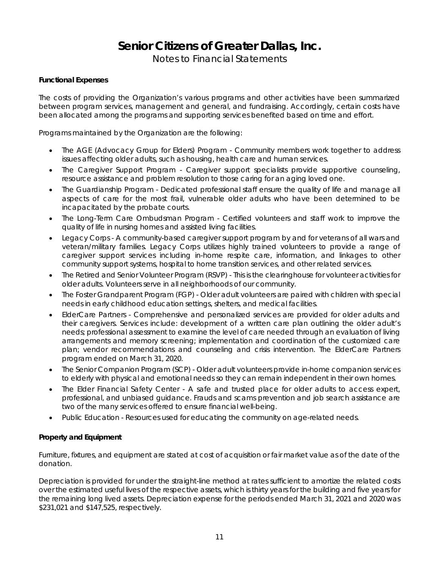Notes to Financial Statements

#### **Functional Expenses**

The costs of providing the Organization's various programs and other activities have been summarized between program services, management and general, and fundraising. Accordingly, certain costs have been allocated among the programs and supporting services benefited based on time and effort.

Programs maintained by the Organization are the following:

- The AGE (Advocacy Group for Elders) Program Community members work together to address issues affecting older adults, such as housing, health care and human services.
- The Caregiver Support Program Caregiver support specialists provide supportive counseling, resource assistance and problem resolution to those caring for an aging loved one.
- The Guardianship Program Dedicated professional staff ensure the quality of life and manage all aspects of care for the most frail, vulnerable older adults who have been determined to be incapacitated by the probate courts.
- The Long-Term Care Ombudsman Program Certified volunteers and staff work to improve the quality of life in nursing homes and assisted living facilities.
- Legacy Corps A community-based caregiver support program by and for veterans of all wars and veteran/military families. Legacy Corps utilizes highly trained volunteers to provide a range of caregiver support services including in-home respite care, information, and linkages to other community support systems, hospital to home transition services, and other related services.
- The Retired and Senior Volunteer Program (RSVP) This is the clearinghouse for volunteer activities for older adults. Volunteers serve in all neighborhoods of our community.
- The Foster Grandparent Program (FGP) Older adult volunteers are paired with children with special needs in early childhood education settings, shelters, and medical facilities.
- ElderCare Partners Comprehensive and personalized services are provided for older adults and their caregivers. Services include: development of a written care plan outlining the older adult's needs; professional assessment to examine the level of care needed through an evaluation of living arrangements and memory screening; implementation and coordination of the customized care plan; vendor recommendations and counseling and crisis intervention. The ElderCare Partners program ended on March 31, 2020.
- The Senior Companion Program (SCP) Older adult volunteers provide in-home companion services to elderly with physical and emotional needs so they can remain independent in their own homes.
- The Elder Financial Safety Center A safe and trusted place for older adults to access expert, professional, and unbiased guidance. Frauds and scams prevention and job search assistance are two of the many services offered to ensure financial well-being.
- Public Education Resources used for educating the community on age-related needs.

#### **Property and Equipment**

Furniture, fixtures, and equipment are stated at cost of acquisition or fair market value as of the date of the donation.

Depreciation is provided for under the straight-line method at rates sufficient to amortize the related costs over the estimated useful lives of the respective assets, which is thirty years for the building and five years for the remaining long lived assets. Depreciation expense for the periods ended March 31, 2021 and 2020 was \$231,021 and \$147,525, respectively.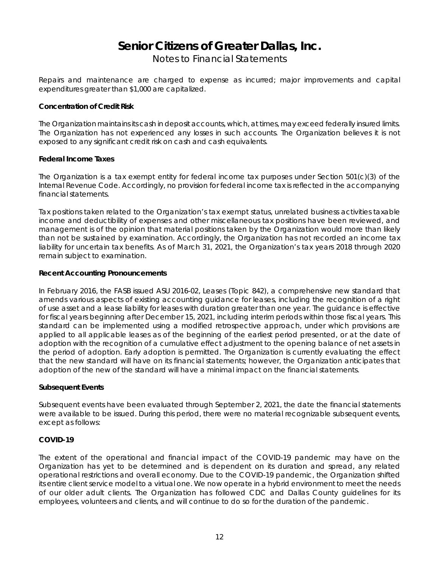Notes to Financial Statements

Repairs and maintenance are charged to expense as incurred; major improvements and capital expenditures greater than \$1,000 are capitalized.

#### **Concentration of Credit Risk**

The Organization maintains its cash in deposit accounts, which, at times, may exceed federally insured limits. The Organization has not experienced any losses in such accounts. The Organization believes it is not exposed to any significant credit risk on cash and cash equivalents.

#### **Federal Income Taxes**

The Organization is a tax exempt entity for federal income tax purposes under Section 501(c)(3) of the Internal Revenue Code. Accordingly, no provision for federal income tax is reflected in the accompanying financial statements.

Tax positions taken related to the Organization's tax exempt status, unrelated business activities taxable income and deductibility of expenses and other miscellaneous tax positions have been reviewed, and management is of the opinion that material positions taken by the Organization would more than likely than not be sustained by examination. Accordingly, the Organization has not recorded an income tax liability for uncertain tax benefits. As of March 31, 2021, the Organization's tax years 2018 through 2020 remain subject to examination.

#### **Recent Accounting Pronouncements**

In February 2016, the FASB issued ASU 2016-02, Leases (Topic 842), a comprehensive new standard that amends various aspects of existing accounting guidance for leases, including the recognition of a right of use asset and a lease liability for leases with duration greater than one year. The guidance is effective for fiscal years beginning after December 15, 2021, including interim periods within those fiscal years. This standard can be implemented using a modified retrospective approach, under which provisions are applied to all applicable leases as of the beginning of the earliest period presented, or at the date of adoption with the recognition of a cumulative effect adjustment to the opening balance of net assets in the period of adoption. Early adoption is permitted. The Organization is currently evaluating the effect that the new standard will have on its financial statements; however, the Organization anticipates that adoption of the new of the standard will have a minimal impact on the financial statements.

#### **Subsequent Events**

Subsequent events have been evaluated through September 2, 2021, the date the financial statements were available to be issued. During this period, there were no material recognizable subsequent events, except as follows:

#### **COVID-19**

The extent of the operational and financial impact of the COVID-19 pandemic may have on the Organization has yet to be determined and is dependent on its duration and spread, any related operational restrictions and overall economy. Due to the COVID-19 pandemic, the Organization shifted its entire client service model to a virtual one. We now operate in a hybrid environment to meet the needs of our older adult clients. The Organization has followed CDC and Dallas County guidelines for its employees, volunteers and clients, and will continue to do so for the duration of the pandemic.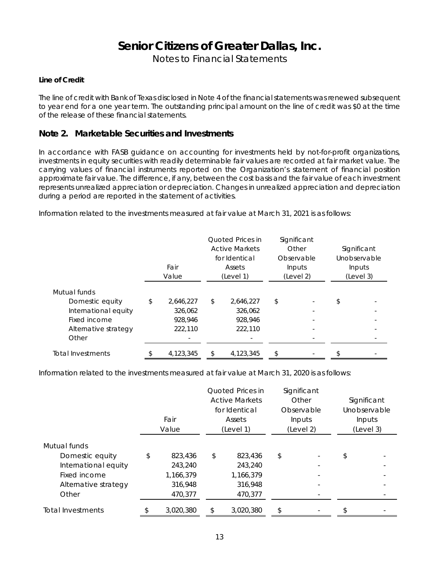Notes to Financial Statements

#### **Line of Credit**

The line of credit with Bank of Texas disclosed in Note 4 of the financial statements was renewed subsequent to year end for a one year term. The outstanding principal amount on the line of credit was \$0 at the time of the release of these financial statements.

#### **Note 2. Marketable Securities and Investments**

In accordance with FASB guidance on accounting for investments held by not-for-profit organizations, investments in equity securities with readily determinable fair values are recorded at fair market value. The carrying values of financial instruments reported on the Organization's statement of financial position approximate fair value. The difference, if any, between the cost basis and the fair value of each investment represents unrealized appreciation or depreciation. Changes in unrealized appreciation and depreciation during a period are reported in the statement of activities.

Information related to the investments measured at fair value at March 31, 2021 is as follows:

|                      | Fair<br>Value   | Quoted Prices in<br><b>Active Markets</b><br>for Identical<br><b>Assets</b><br>(Level 1) | Significant<br>Other<br>Observable<br>Inputs<br>(Level 2) | Significant<br>Unobservable<br>Inputs<br>(Level 3) |
|----------------------|-----------------|------------------------------------------------------------------------------------------|-----------------------------------------------------------|----------------------------------------------------|
| Mutual funds         |                 |                                                                                          |                                                           |                                                    |
| Domestic equity      | \$<br>2,646,227 | \$<br>2,646,227                                                                          | \$                                                        | \$                                                 |
| International equity | 326,062         | 326,062                                                                                  |                                                           |                                                    |
| Fixed income         | 928,946         | 928,946                                                                                  |                                                           |                                                    |
| Alternative strategy | 222,110         | 222,110                                                                                  | $\overline{\phantom{a}}$                                  |                                                    |
| Other                |                 |                                                                                          |                                                           |                                                    |
| Total Investments    | \$<br>4,123,345 | \$<br>4,123,345                                                                          | \$                                                        |                                                    |

Information related to the investments measured at fair value at March 31, 2020 is as follows:

|                      | Fair<br>Value | Quoted Prices in<br><b>Active Markets</b><br>for Identical<br>Assets<br>(Level 1) | Significant<br>Other<br>Observable<br>Inputs<br>(Level 2) | Significant<br>Unobservable<br>Inputs<br>(Level 3) |
|----------------------|---------------|-----------------------------------------------------------------------------------|-----------------------------------------------------------|----------------------------------------------------|
|                      |               |                                                                                   |                                                           |                                                    |
| Mutual funds         |               |                                                                                   |                                                           |                                                    |
| Domestic equity      | \$<br>823,436 | \$<br>823,436                                                                     | \$<br>$\overline{a}$                                      | \$                                                 |
| International equity | 243,240       | 243,240                                                                           |                                                           |                                                    |
| Fixed income         | 1,166,379     | 1,166,379                                                                         | $\overline{\phantom{0}}$                                  |                                                    |
| Alternative strategy | 316,948       | 316,948                                                                           |                                                           |                                                    |
| Other                | 470,377       | 470,377                                                                           |                                                           |                                                    |
| Total Investments    | 3.020.380     | \$<br>3.020.380                                                                   | \$<br>$\qquad \qquad \blacksquare$                        | \$                                                 |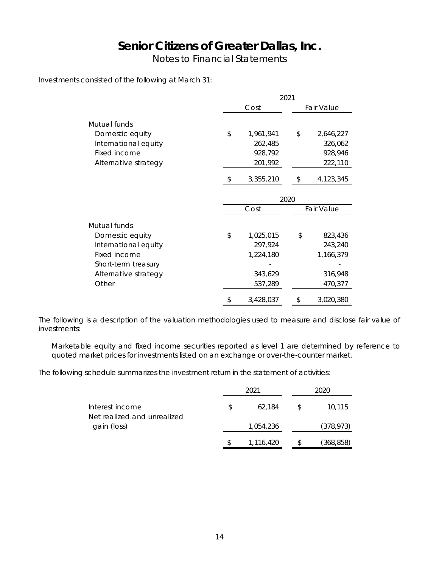Notes to Financial Statements

Investments consisted of the following at March 31:

|                      | 2021            |      |            |  |  |  |  |  |
|----------------------|-----------------|------|------------|--|--|--|--|--|
|                      | Cost            |      | Fair Value |  |  |  |  |  |
| Mutual funds         |                 |      |            |  |  |  |  |  |
| Domestic equity      | \$<br>1,961,941 | \$   | 2,646,227  |  |  |  |  |  |
| International equity | 262,485         |      | 326,062    |  |  |  |  |  |
| Fixed income         | 928,792         |      | 928,946    |  |  |  |  |  |
| Alternative strategy | 201,992         |      | 222,110    |  |  |  |  |  |
|                      | \$<br>3,355,210 | \$   | 4,123,345  |  |  |  |  |  |
|                      |                 | 2020 |            |  |  |  |  |  |
|                      | Cost            |      | Fair Value |  |  |  |  |  |
| Mutual funds         |                 |      |            |  |  |  |  |  |
| Domestic equity      | \$<br>1,025,015 | \$   | 823,436    |  |  |  |  |  |
| International equity | 297,924         |      | 243,240    |  |  |  |  |  |
| Fixed income         | 1,224,180       |      | 1,166,379  |  |  |  |  |  |
| Short-term treasury  |                 |      |            |  |  |  |  |  |
| Alternative strategy | 343,629         |      | 316,948    |  |  |  |  |  |
| Other                | 537,289         |      | 470,377    |  |  |  |  |  |
|                      | \$<br>3,428,037 | \$   | 3,020,380  |  |  |  |  |  |

The following is a description of the valuation methodologies used to measure and disclose fair value of investments:

Marketable equity and fixed income securities reported as level 1 are determined by reference to quoted market prices for investments listed on an exchange or over-the-counter market.

The following schedule summarizes the investment return in the statement of activities:

|                                                |    | 2021      |               | 2020       |
|------------------------------------------------|----|-----------|---------------|------------|
| Interest income<br>Net realized and unrealized | Ъ. | 62.184    | <sup>\$</sup> | 10.115     |
| gain (loss)                                    |    | 1,054,236 |               | (378, 973) |
|                                                |    | 1,116,420 |               | (368,858)  |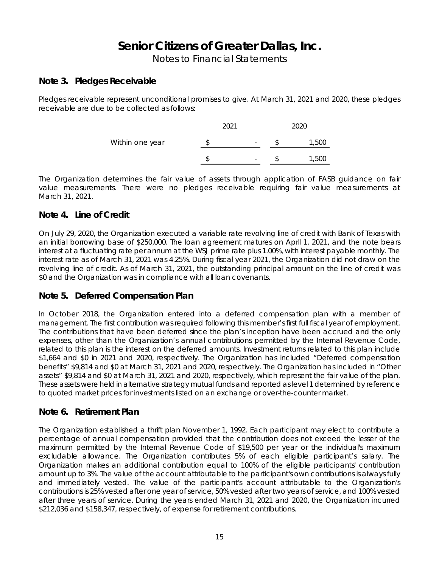Notes to Financial Statements

### **Note 3. Pledges Receivable**

Pledges receivable represent unconditional promises to give. At March 31, 2021 and 2020, these pledges receivable are due to be collected as follows:

|                 | $\Omega$ |   |                |
|-----------------|----------|---|----------------|
| Within one year |          | - | 5U             |
|                 |          |   | $h \mathbf{F}$ |

The Organization determines the fair value of assets through application of FASB guidance on fair value measurements. There were no pledges receivable requiring fair value measurements at March 31, 2021.

### **Note 4. Line of Credit**

On July 29, 2020, the Organization executed a variable rate revolving line of credit with Bank of Texas with an initial borrowing base of \$250,000. The loan agreement matures on April 1, 2021, and the note bears interest at a fluctuating rate per annum at the WSJ prime rate plus 1.00%, with interest payable monthly. The interest rate as of March 31, 2021 was 4.25%. During fiscal year 2021, the Organization did not draw on the revolving line of credit. As of March 31, 2021, the outstanding principal amount on the line of credit was \$0 and the Organization was in compliance with all loan covenants.

### **Note 5. Deferred Compensation Plan**

In October 2018, the Organization entered into a deferred compensation plan with a member of management. The first contribution was required following this member's first full fiscal year of employment. The contributions that have been deferred since the plan's inception have been accrued and the only expenses, other than the Organization's annual contributions permitted by the Internal Revenue Code, related to this plan is the interest on the deferred amounts. Investment returns related to this plan include \$1,664 and \$0 in 2021 and 2020, respectively. The Organization has included "Deferred compensation benefits" \$9,814 and \$0 at March 31, 2021 and 2020, respectively. The Organization has included in "Other assets" \$9,814 and \$0 at March 31, 2021 and 2020, respectively, which represent the fair value of the plan. These assets were held in alternative strategy mutual funds and reported as level 1 determined by reference to quoted market prices for investments listed on an exchange or over-the-counter market.

### **Note 6. Retirement Plan**

The Organization established a thrift plan November 1, 1992. Each participant may elect to contribute a percentage of annual compensation provided that the contribution does not exceed the lesser of the maximum permitted by the Internal Revenue Code of \$19,500 per year or the individual's maximum excludable allowance. The Organization contributes 5% of each eligible participant's salary. The Organization makes an additional contribution equal to 100% of the eligible participants' contribution amount up to 3%. The value of the account attributable to the participant's own contributions is always fully and immediately vested. The value of the participant's account attributable to the Organization's contributions is 25% vested after one year of service, 50% vested after two years of service, and 100% vested after three years of service. During the years ended March 31, 2021 and 2020, the Organization incurred \$212,036 and \$158,347, respectively, of expense for retirement contributions.